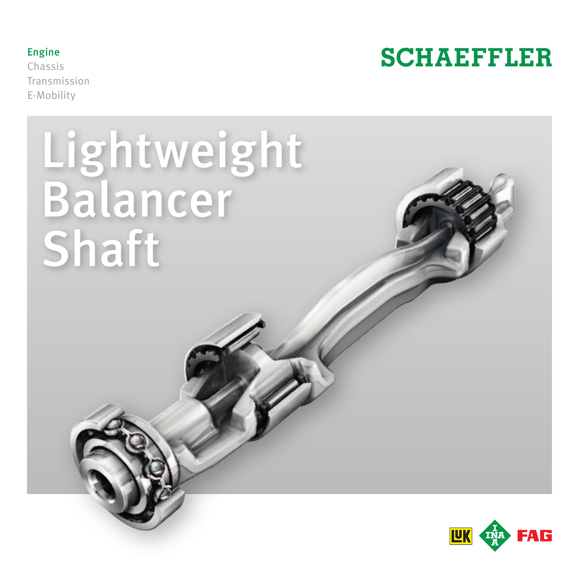

Chassis Transmission E-Mobility



# Lightweight Balancer Shaft